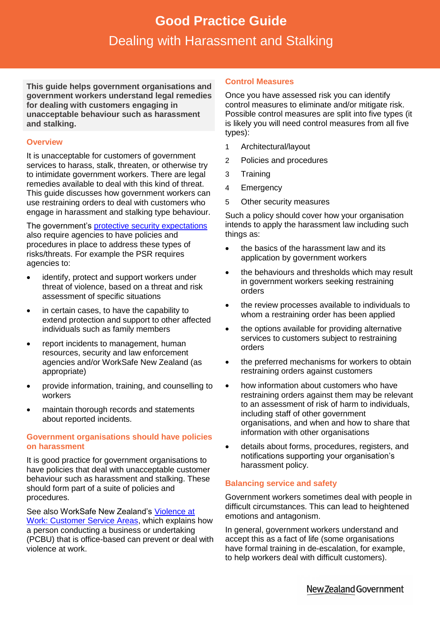# **Good Practice Guide**<br>Ing with Haracement and Sta Dealing with Harassment and Stalking **Good Practice Guide** Dealing with Harassment and Stalking

**This guide helps government organisations and government workers understand legal remedies for dealing with customers engaging in unacceptable behaviour such as harassment and stalking.**

### **Overview**

It is unacceptable for customers of government services to harass, stalk, threaten, or otherwise try to intimidate government workers. There are legal remedies available to deal with this kind of threat. This guide discusses how government workers can use restraining orders to deal with customers who engage in harassment and stalking type behaviour.

The government's [protective security expectations](https://www.protectivesecurity.govt.nz/) also require agencies to have policies and procedures in place to address these types of risks/threats. For example the PSR requires agencies to:

- identify, protect and support workers under threat of violence, based on a threat and risk assessment of specific situations
- in certain cases, to have the capability to extend protection and support to other affected individuals such as family members
- report incidents to management, human resources, security and law enforcement agencies and/or WorkSafe New Zealand (as appropriate)
- provide information, training, and counselling to workers
- maintain thorough records and statements about reported incidents.

### **Government organisations should have policies on harassment**

It is good practice for government organisations to have policies that deal with unacceptable customer behaviour such as harassment and stalking. These should form part of a suite of policies and procedures.

See also WorkSafe New Zealand's Violence at [Work: Customer Service Areas,](http://www.worksafe.govt.nz/worksafe/information-guidance/all-guidance-items/violence-at-work-customer-service-areas) which explains how a person conducting a business or undertaking (PCBU) that is office-based can prevent or deal with violence at work.

#### **Control Measures**

Once you have assessed risk you can identify control measures to eliminate and/or mitigate risk. Possible control measures are split into five types (it is likely you will need control measures from all five types):

- 1 Architectural/layout
- 2 Policies and procedures
- 3 Training
- 4 Emergency
- 5 Other security measures

Such a policy should cover how your organisation intends to apply the harassment law including such things as:

- the basics of the harassment law and its application by government workers
- the behaviours and thresholds which may result in government workers seeking restraining orders
- the review processes available to individuals to whom a restraining order has been applied
- the options available for providing alternative services to customers subject to restraining orders
- the preferred mechanisms for workers to obtain restraining orders against customers
- how information about customers who have restraining orders against them may be relevant to an assessment of risk of harm to individuals, including staff of other government organisations, and when and how to share that information with other organisations
- details about forms, procedures, registers, and notifications supporting your organisation's harassment policy.

#### **Balancing service and safety**

Government workers sometimes deal with people in difficult circumstances. This can lead to heightened emotions and antagonism.

In general, government workers understand and accept this as a fact of life (some organisations have formal training in [de-escalation,](file:///C:/home) for example, to help workers deal with difficult customers).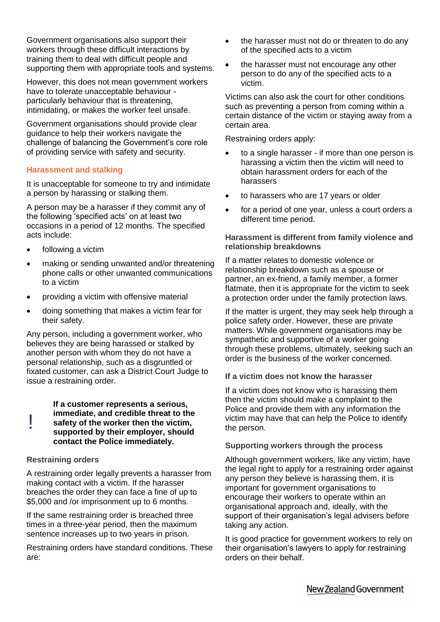Government organisations also support their workers through these difficult interactions by training them to deal with difficult people and supporting them with appropriate tools and systems.

However, this does not mean government workers have to tolerate unacceptable behaviour particularly behaviour that is threatening, intimidating, or makes the worker feel unsafe.

Government organisations should provide clear guidance to help their workers navigate the challenge of balancing the Government's core role of providing service with safety and security.

### **Harassment and stalking**

It is unacceptable for someone to try and intimidate a person by harassing or stalking them.

A person may be a harasser if they commit any of the following 'specified acts' on at least two occasions in a period of 12 months. The specified acts include:

- following a victim
- making or sending unwanted and/or threatening phone calls or other unwanted communications to a victim
- providing a victim with offensive material
- doing something that makes a victim fear for their safety.

Any person, including a government worker, who believes they are being harassed or stalked by another person with whom they do not have a personal relationship, such as a disgruntled or fixated customer, can ask a District Court Judge to issue a restraining order.

**If a customer represents a serious, immediate, and credible threat to the safety of the worker then the victim, supported by their employer, should contact the Police immediately.** !

### **Restraining orders**

A restraining order legally prevents a harasser from making contact with a victim. If the harasser breaches the order they can face a fine of up to \$5,000 and /or imprisonment up to 6 months.

If the same restraining order is breached three times in a three-year period, then the maximum sentence increases up to two years in prison.

Restraining orders have standard conditions. These are:

- the harasser must not do or threaten to do any of the specified acts to a victim
- the harasser must not encourage any other person to do any of the specified acts to a victim.

Victims can also ask the court for other conditions such as preventing a person from coming within a certain distance of the victim or staying away from a certain area.

Restraining orders apply:

- to a single harasser if more than one person is harassing a victim then the victim will need to obtain harassment orders for each of the harassers
- to harassers who are 17 years or older
- for a period of one year, unless a court orders a different time period.

### **Harassment is different from family violence and relationship breakdowns**

If a matter relates to domestic violence or relationship breakdown such as a spouse or partner, an ex-friend, a family member, a former flatmate, then it is appropriate for the victim to seek a protection order under the family protection laws.

If the matter is urgent, they may seek help through a police safety order. However, these are private matters. While government organisations may be sympathetic and supportive of a worker going through these problems, ultimately, seeking such an order is the business of the worker concerned.

**If a victim does not know the harasser**

If a victim does not know who is harassing them then the victim should make a complaint to the Police and provide them with any information the victim may have that can help the Police to identify the person.

### **Supporting workers through the process**

Although government workers, like any victim, have the legal right to apply for a restraining order against any person they believe is harassing them, it is important for government organisations to encourage their workers to operate within an organisational approach and, ideally, with the support of their organisation's legal advisers before taking any action.

It is good practice for government workers to rely on their organisation's lawyers to apply for restraining orders on their behalf.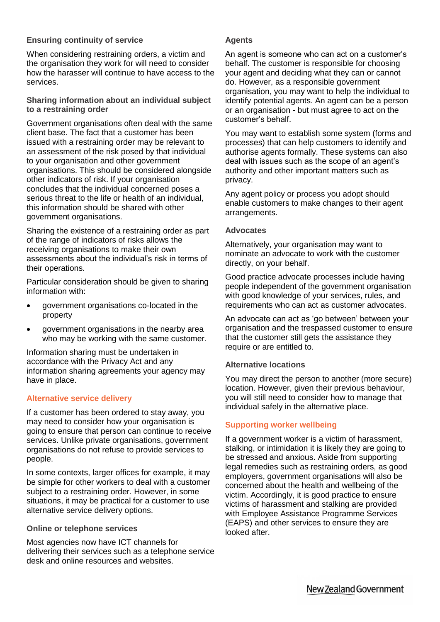### **Ensuring continuity of service**

When considering restraining orders, a victim and the organisation they work for will need to consider how the harasser will continue to have access to the services.

#### **Sharing information about an individual subject to a restraining order**

Government organisations often deal with the same client base. The fact that a customer has been issued with a restraining order may be relevant to an assessment of the risk posed by that individual to your organisation and other government organisations. This should be considered alongside other indicators of risk. If your organisation concludes that the individual concerned poses a serious threat to the life or health of an individual, this information should be shared with other government organisations.

Sharing the existence of a restraining order as part of the range of indicators of risks allows the receiving organisations to make their own assessments about the individual's risk in terms of their operations.

Particular consideration should be given to sharing information with:

- government organisations co-located in the property
- government organisations in the nearby area who may be working with the same customer.

Information sharing must be undertaken in accordance with the Privacy Act and any information sharing agreements your agency may have in place.

## **Alternative service delivery**

If a customer has been ordered to stay away, you may need to consider how your organisation is going to ensure that person can continue to receive services. Unlike private organisations, government organisations do not refuse to provide services to people.

In some contexts, larger offices for example, it may be simple for other workers to deal with a customer subject to a restraining order. However, in some situations, it may be practical for a customer to use alternative service delivery options.

### **Online or telephone services**

Most agencies now have ICT channels for delivering their services such as a telephone service desk and online resources and websites.

### **Agents**

An agent is someone who can act on a customer's behalf. The customer is responsible for choosing your agent and deciding what they can or cannot do. However, as a responsible government organisation, you may want to help the individual to identify potential agents. An agent can be a person or an organisation - but must agree to act on the customer's behalf.

You may want to establish some system (forms and processes) that can help customers to identify and authorise agents formally. These systems can also deal with issues such as the scope of an agent's authority and other important matters such as privacy.

Any agent policy or process you adopt should enable customers to make changes to their agent arrangements.

### **Advocates**

Alternatively, your organisation may want to nominate an advocate to work with the customer directly, on your behalf.

Good practice advocate processes include having people independent of the government organisation with good knowledge of your services, rules, and requirements who can act as customer advocates.

An advocate can act as 'go between' between your organisation and the trespassed customer to ensure that the customer still gets the assistance they require or are entitled to.

### **Alternative locations**

You may direct the person to another (more secure) location. However, given their previous behaviour, you will still need to consider how to manage that individual safely in the alternative place.

## **Supporting worker wellbeing**

If a government worker is a victim of harassment, stalking, or intimidation it is likely they are going to be stressed and anxious. Aside from supporting legal remedies such as restraining orders, as good employers, government organisations will also be concerned about the health and wellbeing of the victim. Accordingly, it is good practice to ensure victims of harassment and stalking are provided with Employee Assistance Programme Services (EAPS) and other services to ensure they are looked after.